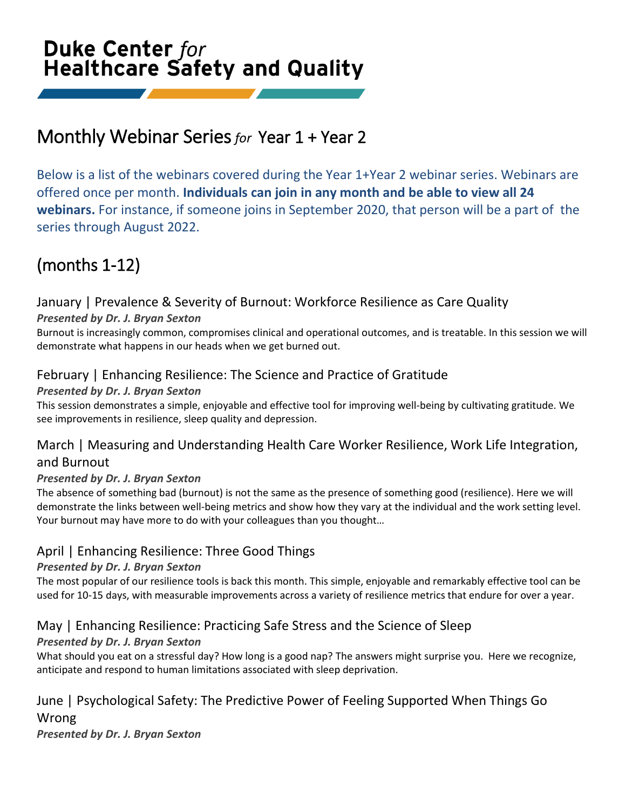# **Duke Center for Healthcare Safety and Quality**

# Monthly Webinar Series *for* Year 1 + Year 2

Below is a list of the webinars covered during the Year 1+Year 2 webinar series. Webinars are offered once per month. **Individuals can join in any month and be able to view all 24 webinars.** For instance, if someone joins in September 2020, that person will be a part of the series through August 2022.

# (months 1-12)

# January | Prevalence & Severity of Burnout: Workforce Resilience as Care Quality

#### *Presented by Dr. J. Bryan Sexton*

Burnout is increasingly common, compromises clinical and operational outcomes, and is treatable. In this session we will demonstrate what happens in our heads when we get burned out.

# February | Enhancing Resilience: The Science and Practice of Gratitude

#### *Presented by Dr. J. Bryan Sexton*

This session demonstrates a simple, enjoyable and effective tool for improving well-being by cultivating gratitude. We see improvements in resilience, sleep quality and depression.

# March | Measuring and Understanding Health Care Worker Resilience, Work Life Integration, and Burnout

#### *Presented by Dr. J. Bryan Sexton*

The absence of something bad (burnout) is not the same as the presence of something good (resilience). Here we will demonstrate the links between well-being metrics and show how they vary at the individual and the work setting level. Your burnout may have more to do with your colleagues than you thought…

# April | Enhancing Resilience: Three Good Things

#### *Presented by Dr. J. Bryan Sexton*

The most popular of our resilience tools is back this month. This simple, enjoyable and remarkably effective tool can be used for 10-15 days, with measurable improvements across a variety of resilience metrics that endure for over a year.

# May | Enhancing Resilience: Practicing Safe Stress and the Science of Sleep

### *Presented by Dr. J. Bryan Sexton*

What should you eat on a stressful day? How long is a good nap? The answers might surprise you. Here we recognize, anticipate and respond to human limitations associated with sleep deprivation.

# June | Psychological Safety: The Predictive Power of Feeling Supported When Things Go

Wrong

*Presented by Dr. J. Bryan Sexton*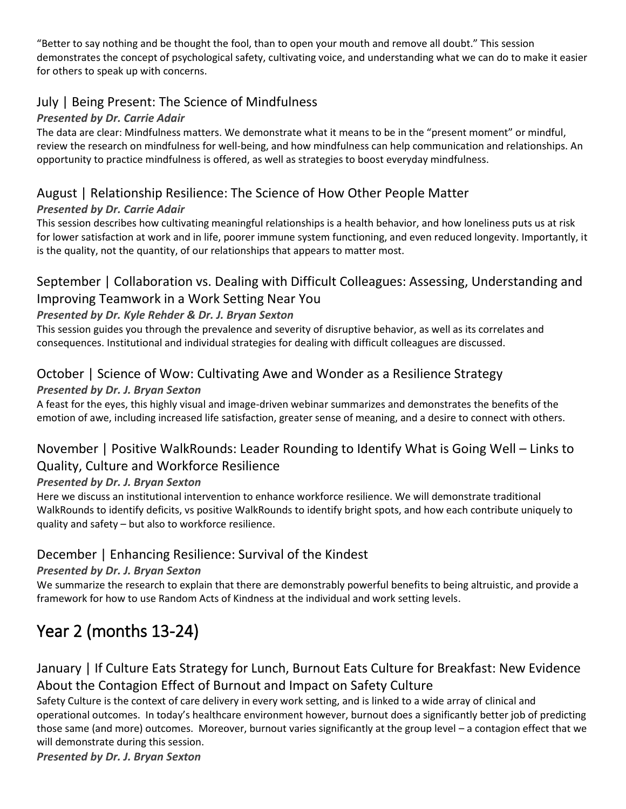"Better to say nothing and be thought the fool, than to open your mouth and remove all doubt." This session demonstrates the concept of psychological safety, cultivating voice, and understanding what we can do to make it easier for others to speak up with concerns.

### July | Being Present: The Science of Mindfulness

#### *Presented by Dr. Carrie Adair*

The data are clear: Mindfulness matters. We demonstrate what it means to be in the "present moment" or mindful, review the research on mindfulness for well-being, and how mindfulness can help communication and relationships. An opportunity to practice mindfulness is offered, as well as strategies to boost everyday mindfulness.

# August | Relationship Resilience: The Science of How Other People Matter

#### *Presented by Dr. Carrie Adair*

This session describes how cultivating meaningful relationships is a health behavior, and how loneliness puts us at risk for lower satisfaction at work and in life, poorer immune system functioning, and even reduced longevity. Importantly, it is the quality, not the quantity, of our relationships that appears to matter most.

# September | Collaboration vs. Dealing with Difficult Colleagues: Assessing, Understanding and Improving Teamwork in a Work Setting Near You

#### *Presented by Dr. Kyle Rehder & Dr. J. Bryan Sexton*

This session guides you through the prevalence and severity of disruptive behavior, as well as its correlates and consequences. Institutional and individual strategies for dealing with difficult colleagues are discussed.

# October | Science of Wow: Cultivating Awe and Wonder as a Resilience Strategy

#### *Presented by Dr. J. Bryan Sexton*

A feast for the eyes, this highly visual and image-driven webinar summarizes and demonstrates the benefits of the emotion of awe, including increased life satisfaction, greater sense of meaning, and a desire to connect with others.

# November | Positive WalkRounds: Leader Rounding to Identify What is Going Well – Links to Quality, Culture and Workforce Resilience

#### *Presented by Dr. J. Bryan Sexton*

Here we discuss an institutional intervention to enhance workforce resilience. We will demonstrate traditional WalkRounds to identify deficits, vs positive WalkRounds to identify bright spots, and how each contribute uniquely to quality and safety – but also to workforce resilience.

# December | Enhancing Resilience: Survival of the Kindest

### *Presented by Dr. J. Bryan Sexton*

We summarize the research to explain that there are demonstrably powerful benefits to being altruistic, and provide a framework for how to use Random Acts of Kindness at the individual and work setting levels.

# Year 2 (months 13-24)

# January | If Culture Eats Strategy for Lunch, Burnout Eats Culture for Breakfast: New Evidence About the Contagion Effect of Burnout and Impact on Safety Culture

Safety Culture is the context of care delivery in every work setting, and is linked to a wide array of clinical and operational outcomes. In today's healthcare environment however, burnout does a significantly better job of predicting those same (and more) outcomes. Moreover, burnout varies significantly at the group level – a contagion effect that we will demonstrate during this session.

*Presented by Dr. J. Bryan Sexton*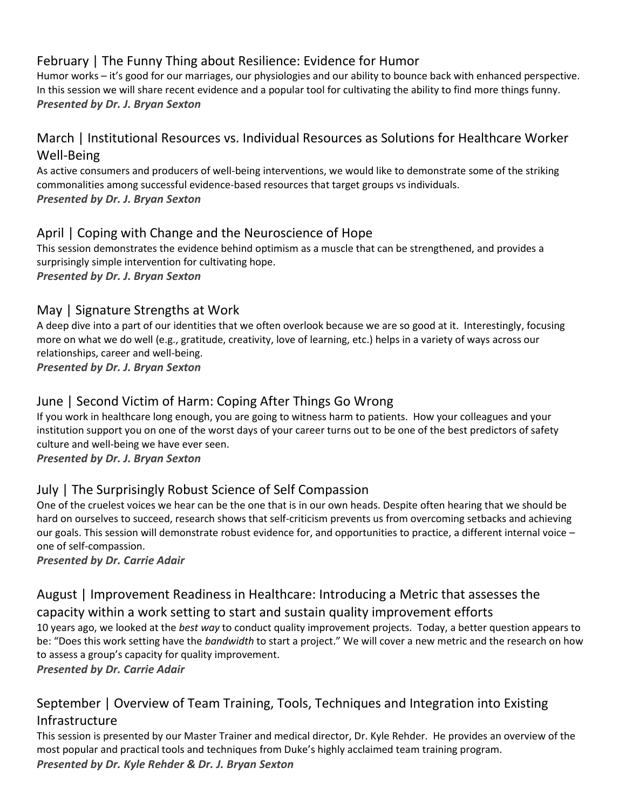# February | The Funny Thing about Resilience: Evidence for Humor

Humor works – it's good for our marriages, our physiologies and our ability to bounce back with enhanced perspective. In this session we will share recent evidence and a popular tool for cultivating the ability to find more things funny. *Presented by Dr. J. Bryan Sexton*

# March | Institutional Resources vs. Individual Resources as Solutions for Healthcare Worker Well-Being

As active consumers and producers of well-being interventions, we would like to demonstrate some of the striking commonalities among successful evidence-based resources that target groups vs individuals. *Presented by Dr. J. Bryan Sexton* 

### April | Coping with Change and the Neuroscience of Hope

This session demonstrates the evidence behind optimism as a muscle that can be strengthened, and provides a surprisingly simple intervention for cultivating hope. *Presented by Dr. J. Bryan Sexton*

# May | Signature Strengths at Work

A deep dive into a part of our identities that we often overlook because we are so good at it. Interestingly, focusing more on what we do well (e.g., gratitude, creativity, love of learning, etc.) helps in a variety of ways across our relationships, career and well-being. *Presented by Dr. J. Bryan Sexton*

June | Second Victim of Harm: Coping After Things Go Wrong If you work in healthcare long enough, you are going to witness harm to patients. How your colleagues and your institution support you on one of the worst days of your career turns out to be one of the best predictors of safety culture and well-being we have ever seen.

*Presented by Dr. J. Bryan Sexton* 

# July | The Surprisingly Robust Science of Self Compassion

One of the cruelest voices we hear can be the one that is in our own heads. Despite often hearing that we should be hard on ourselves to succeed, research shows that self-criticism prevents us from overcoming setbacks and achieving our goals. This session will demonstrate robust evidence for, and opportunities to practice, a different internal voice – one of self-compassion.

*Presented by Dr. Carrie Adair*

# August | Improvement Readiness in Healthcare: Introducing a Metric that assesses the capacity within a work setting to start and sustain quality improvement efforts

10 years ago, we looked at the *best way* to conduct quality improvement projects. Today, a better question appears to be: "Does this work setting have the *bandwidth* to start a project." We will cover a new metric and the research on how to assess a group's capacity for quality improvement.

*Presented by Dr. Carrie Adair* 

# September | Overview of Team Training, Tools, Techniques and Integration into Existing Infrastructure

This session is presented by our Master Trainer and medical director, Dr. Kyle Rehder. He provides an overview of the most popular and practical tools and techniques from Duke's highly acclaimed team training program. *Presented by Dr. Kyle Rehder & Dr. J. Bryan Sexton*